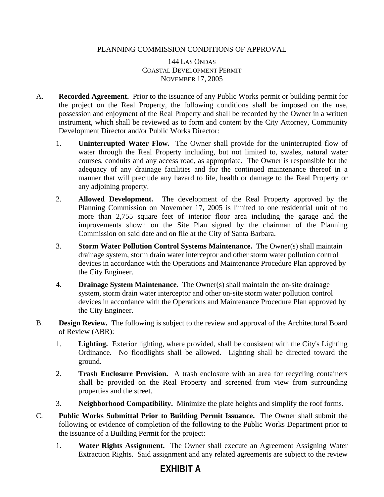## PLANNING COMMISSION CONDITIONS OF APPROVAL

144 LAS ONDAS COASTAL DEVELOPMENT PERMIT NOVEMBER 17, 2005

- A. **Recorded Agreement.** Prior to the issuance of any Public Works permit or building permit for the project on the Real Property, the following conditions shall be imposed on the use, possession and enjoyment of the Real Property and shall be recorded by the Owner in a written instrument, which shall be reviewed as to form and content by the City Attorney, Community Development Director and/or Public Works Director:
	- 1. **Uninterrupted Water Flow.** The Owner shall provide for the uninterrupted flow of water through the Real Property including, but not limited to, swales, natural water courses, conduits and any access road, as appropriate. The Owner is responsible for the adequacy of any drainage facilities and for the continued maintenance thereof in a manner that will preclude any hazard to life, health or damage to the Real Property or any adjoining property.
	- 2. **Allowed Development.** The development of the Real Property approved by the Planning Commission on November 17, 2005 is limited to one residential unit of no more than 2,755 square feet of interior floor area including the garage and the improvements shown on the Site Plan signed by the chairman of the Planning Commission on said date and on file at the City of Santa Barbara.
	- 3. **Storm Water Pollution Control Systems Maintenance.** The Owner(s) shall maintain drainage system, storm drain water interceptor and other storm water pollution control devices in accordance with the Operations and Maintenance Procedure Plan approved by the City Engineer.
	- 4. **Drainage System Maintenance.** The Owner(s) shall maintain the on-site drainage system, storm drain water interceptor and other on-site storm water pollution control devices in accordance with the Operations and Maintenance Procedure Plan approved by the City Engineer.
- B. **Design Review.** The following is subject to the review and approval of the Architectural Board of Review (ABR):
	- 1. **Lighting.** Exterior lighting, where provided, shall be consistent with the City's Lighting Ordinance. No floodlights shall be allowed. Lighting shall be directed toward the ground.
	- 2. **Trash Enclosure Provision.** A trash enclosure with an area for recycling containers shall be provided on the Real Property and screened from view from surrounding properties and the street.
	- 3. **Neighborhood Compatibility.** Minimize the plate heights and simplify the roof forms.
- C. **Public Works Submittal Prior to Building Permit Issuance.** The Owner shall submit the following or evidence of completion of the following to the Public Works Department prior to the issuance of a Building Permit for the project:
	- 1. **Water Rights Assignment.** The Owner shall execute an Agreement Assigning Water Extraction Rights. Said assignment and any related agreements are subject to the review

## **EXHIBIT A**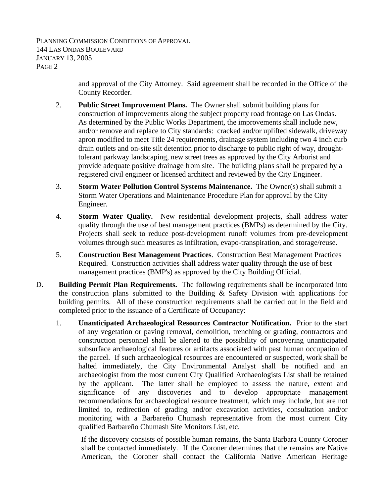PLANNING COMMISSION CONDITIONS OF APPROVAL 144 LAS ONDAS BOULEVARD JANUARY 13, 2005 PAGE 2

> and approval of the City Attorney. Said agreement shall be recorded in the Office of the County Recorder.

- 2. **Public Street Improvement Plans.** The Owner shall submit building plans for construction of improvements along the subject property road frontage on Las Ondas. As determined by the Public Works Department, the improvements shall include new, and/or remove and replace to City standards: cracked and/or uplifted sidewalk, driveway apron modified to meet Title 24 requirements, drainage system including two 4 inch curb drain outlets and on-site silt detention prior to discharge to public right of way, droughttolerant parkway landscaping, new street trees as approved by the City Arborist and provide adequate positive drainage from site. The building plans shall be prepared by a registered civil engineer or licensed architect and reviewed by the City Engineer.
- 3. **Storm Water Pollution Control Systems Maintenance.** The Owner(s) shall submit a Storm Water Operations and Maintenance Procedure Plan for approval by the City Engineer.
- 4. **Storm Water Quality.** New residential development projects, shall address water quality through the use of best management practices (BMPs) as determined by the City. Projects shall seek to reduce post-development runoff volumes from pre-development volumes through such measures as infiltration, evapo-transpiration, and storage/reuse.
- 5. **Construction Best Management Practices**. Construction Best Management Practices Required. Construction activities shall address water quality through the use of best management practices (BMP's) as approved by the City Building Official.
- D. **Building Permit Plan Requirements.** The following requirements shall be incorporated into the construction plans submitted to the Building & Safety Division with applications for building permits. All of these construction requirements shall be carried out in the field and completed prior to the issuance of a Certificate of Occupancy:
	- 1. **Unanticipated Archaeological Resources Contractor Notification.** Prior to the start of any vegetation or paving removal, demolition, trenching or grading, contractors and construction personnel shall be alerted to the possibility of uncovering unanticipated subsurface archaeological features or artifacts associated with past human occupation of the parcel. If such archaeological resources are encountered or suspected, work shall be halted immediately, the City Environmental Analyst shall be notified and an archaeologist from the most current City Qualified Archaeologists List shall be retained by the applicant. The latter shall be employed to assess the nature, extent and significance of any discoveries and to develop appropriate management recommendations for archaeological resource treatment, which may include, but are not limited to, redirection of grading and/or excavation activities, consultation and/or monitoring with a Barbareño Chumash representative from the most current City qualified Barbareño Chumash Site Monitors List, etc.

If the discovery consists of possible human remains, the Santa Barbara County Coroner shall be contacted immediately. If the Coroner determines that the remains are Native American, the Coroner shall contact the California Native American Heritage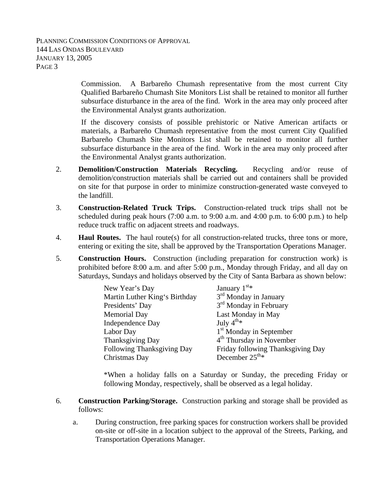PLANNING COMMISSION CONDITIONS OF APPROVAL 144 LAS ONDAS BOULEVARD JANUARY 13, 2005 PAGE 3

> Commission. A Barbareño Chumash representative from the most current City Qualified Barbareño Chumash Site Monitors List shall be retained to monitor all further subsurface disturbance in the area of the find. Work in the area may only proceed after the Environmental Analyst grants authorization.

> If the discovery consists of possible prehistoric or Native American artifacts or materials, a Barbareño Chumash representative from the most current City Qualified Barbareño Chumash Site Monitors List shall be retained to monitor all further subsurface disturbance in the area of the find. Work in the area may only proceed after the Environmental Analyst grants authorization.

- 2. **Demolition/Construction Materials Recycling.** Recycling and/or reuse of demolition/construction materials shall be carried out and containers shall be provided on site for that purpose in order to minimize construction-generated waste conveyed to the landfill.
- 3. **Construction-Related Truck Trips.** Construction-related truck trips shall not be scheduled during peak hours (7:00 a.m. to 9:00 a.m. and 4:00 p.m. to 6:00 p.m.) to help reduce truck traffic on adjacent streets and roadways.
- 4. **Haul Routes.** The haul route(s) for all construction-related trucks, three tons or more, entering or exiting the site, shall be approved by the Transportation Operations Manager.
- 5. **Construction Hours.** Construction (including preparation for construction work) is prohibited before 8:00 a.m. and after 5:00 p.m., Monday through Friday, and all day on Saturdays, Sundays and holidays observed by the City of Santa Barbara as shown below:

| New Year's Day                | January $1st$                        |
|-------------------------------|--------------------------------------|
| Martin Luther King's Birthday | 3 <sup>rd</sup> Monday in January    |
| Presidents' Day               | 3 <sup>rd</sup> Monday in February   |
| <b>Memorial Day</b>           | Last Monday in May                   |
| <b>Independence Day</b>       | July $4^{\text{th}_{*}}$             |
| Labor Day                     | 1 <sup>st</sup> Monday in September  |
| Thanksgiving Day              | 4 <sup>th</sup> Thursday in November |
| Following Thanksgiving Day    | Friday following Thanksgiving Day    |
| Christmas Day                 | December $25^{\text{th}_{*}}$        |

 \*When a holiday falls on a Saturday or Sunday, the preceding Friday or following Monday, respectively, shall be observed as a legal holiday.

- 6. **Construction Parking/Storage.** Construction parking and storage shall be provided as follows:
	- a. During construction, free parking spaces for construction workers shall be provided on-site or off-site in a location subject to the approval of the Streets, Parking, and Transportation Operations Manager.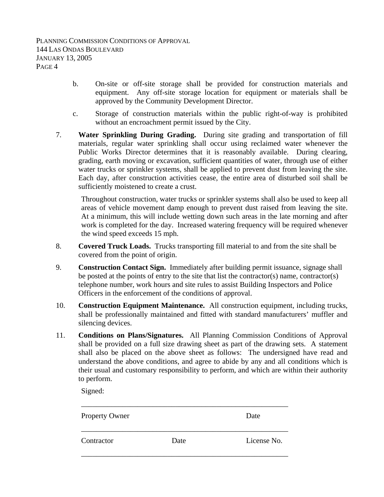- b. On-site or off-site storage shall be provided for construction materials and equipment. Any off-site storage location for equipment or materials shall be approved by the Community Development Director.
- c. Storage of construction materials within the public right-of-way is prohibited without an encroachment permit issued by the City.
- 7. **Water Sprinkling During Grading.** During site grading and transportation of fill materials, regular water sprinkling shall occur using reclaimed water whenever the Public Works Director determines that it is reasonably available. During clearing, grading, earth moving or excavation, sufficient quantities of water, through use of either water trucks or sprinkler systems, shall be applied to prevent dust from leaving the site. Each day, after construction activities cease, the entire area of disturbed soil shall be sufficiently moistened to create a crust.

Throughout construction, water trucks or sprinkler systems shall also be used to keep all areas of vehicle movement damp enough to prevent dust raised from leaving the site. At a minimum, this will include wetting down such areas in the late morning and after work is completed for the day. Increased watering frequency will be required whenever the wind speed exceeds 15 mph.

- 8. **Covered Truck Loads.** Trucks transporting fill material to and from the site shall be covered from the point of origin.
- 9. **Construction Contact Sign.** Immediately after building permit issuance, signage shall be posted at the points of entry to the site that list the contractor(s) name, contractor(s) telephone number, work hours and site rules to assist Building Inspectors and Police Officers in the enforcement of the conditions of approval.
- 10. **Construction Equipment Maintenance.** All construction equipment, including trucks, shall be professionally maintained and fitted with standard manufacturers' muffler and silencing devices.
- 11. **Conditions on Plans/Signatures.** All Planning Commission Conditions of Approval shall be provided on a full size drawing sheet as part of the drawing sets. A statement shall also be placed on the above sheet as follows: The undersigned have read and understand the above conditions, and agree to abide by any and all conditions which is their usual and customary responsibility to perform, and which are within their authority to perform.

Signed:

| <b>Property Owner</b> |      | Date        |
|-----------------------|------|-------------|
| Contractor            | Date | License No. |